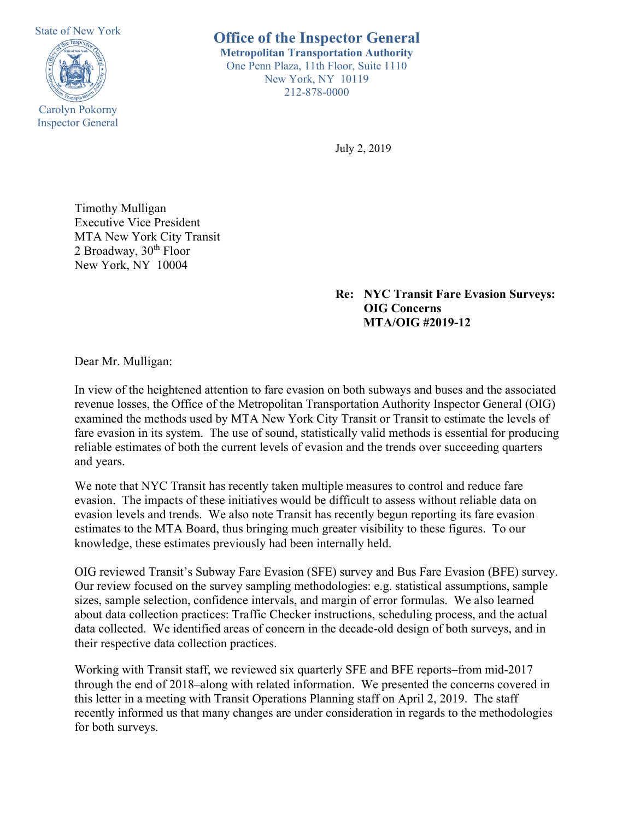State of New York Carolyn Pokorny Inspector General

**Office of the Inspector General Metropolitan Transportation Authority** One Penn Plaza, 11th Floor, Suite 1110 New York, NY 10119 212-878-0000

July 2, 2019

Timothy Mulligan Executive Vice President MTA New York City Transit 2 Broadway, 30<sup>th</sup> Floor New York, NY 10004

> **Re: NYC Transit Fare Evasion Surveys: OIG Concerns MTA/OIG #2019-12**

Dear Mr. Mulligan:

In view of the heightened attention to fare evasion on both subways and buses and the associated revenue losses, the Office of the Metropolitan Transportation Authority Inspector General (OIG) examined the methods used by MTA New York City Transit or Transit to estimate the levels of fare evasion in its system. The use of sound, statistically valid methods is essential for producing reliable estimates of both the current levels of evasion and the trends over succeeding quarters and years.

We note that NYC Transit has recently taken multiple measures to control and reduce fare evasion. The impacts of these initiatives would be difficult to assess without reliable data on evasion levels and trends. We also note Transit has recently begun reporting its fare evasion estimates to the MTA Board, thus bringing much greater visibility to these figures. To our knowledge, these estimates previously had been internally held.

OIG reviewed Transit's Subway Fare Evasion (SFE) survey and Bus Fare Evasion (BFE) survey. Our review focused on the survey sampling methodologies: e.g. statistical assumptions, sample sizes, sample selection, confidence intervals, and margin of error formulas. We also learned about data collection practices: Traffic Checker instructions, scheduling process, and the actual data collected. We identified areas of concern in the decade-old design of both surveys, and in their respective data collection practices.

Working with Transit staff, we reviewed six quarterly SFE and BFE reports–from mid-2017 through the end of 2018–along with related information. We presented the concerns covered in this letter in a meeting with Transit Operations Planning staff on April 2, 2019. The staff recently informed us that many changes are under consideration in regards to the methodologies for both surveys.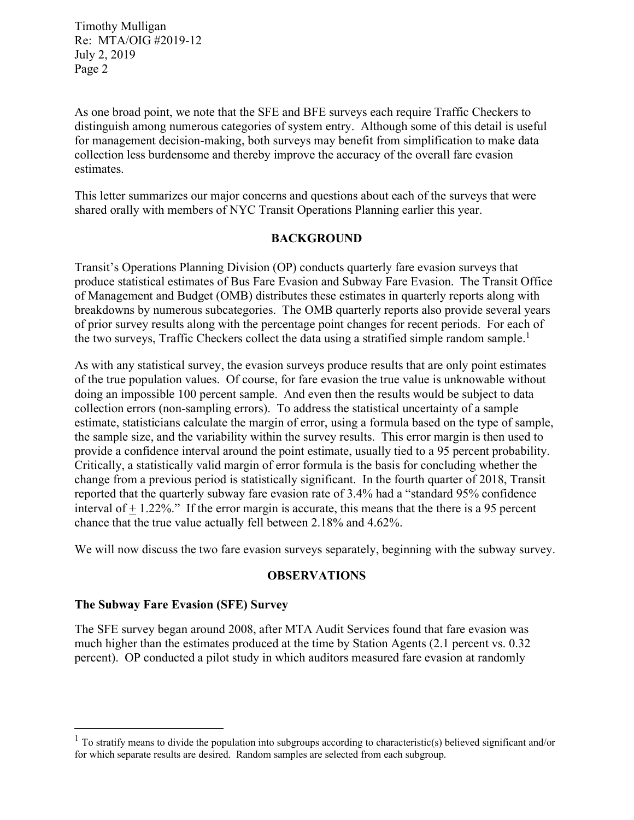As one broad point, we note that the SFE and BFE surveys each require Traffic Checkers to distinguish among numerous categories of system entry. Although some of this detail is useful for management decision-making, both surveys may benefit from simplification to make data collection less burdensome and thereby improve the accuracy of the overall fare evasion estimates.

This letter summarizes our major concerns and questions about each of the surveys that were shared orally with members of NYC Transit Operations Planning earlier this year.

### **BACKGROUND**

Transit's Operations Planning Division (OP) conducts quarterly fare evasion surveys that produce statistical estimates of Bus Fare Evasion and Subway Fare Evasion. The Transit Office of Management and Budget (OMB) distributes these estimates in quarterly reports along with breakdowns by numerous subcategories. The OMB quarterly reports also provide several years of prior survey results along with the percentage point changes for recent periods. For each of the two surveys, Traffic Checkers collect the data using a stratified simple random sample.<sup>[1](#page-1-0)</sup>

As with any statistical survey, the evasion surveys produce results that are only point estimates of the true population values. Of course, for fare evasion the true value is unknowable without doing an impossible 100 percent sample. And even then the results would be subject to data collection errors (non-sampling errors). To address the statistical uncertainty of a sample estimate, statisticians calculate the margin of error, using a formula based on the type of sample, the sample size, and the variability within the survey results. This error margin is then used to provide a confidence interval around the point estimate, usually tied to a 95 percent probability. Critically, a statistically valid margin of error formula is the basis for concluding whether the change from a previous period is statistically significant. In the fourth quarter of 2018, Transit reported that the quarterly subway fare evasion rate of 3.4% had a "standard 95% confidence interval of  $\pm$  1.22%." If the error margin is accurate, this means that the there is a 95 percent chance that the true value actually fell between 2.18% and 4.62%.

We will now discuss the two fare evasion surveys separately, beginning with the subway survey.

### **OBSERVATIONS**

### **The Subway Fare Evasion (SFE) Survey**

The SFE survey began around 2008, after MTA Audit Services found that fare evasion was much higher than the estimates produced at the time by Station Agents (2.1 percent vs. 0.32 percent). OP conducted a pilot study in which auditors measured fare evasion at randomly

<span id="page-1-0"></span> $<sup>1</sup>$  To stratify means to divide the population into subgroups according to characteristic(s) believed significant and/or</sup> for which separate results are desired. Random samples are selected from each subgroup.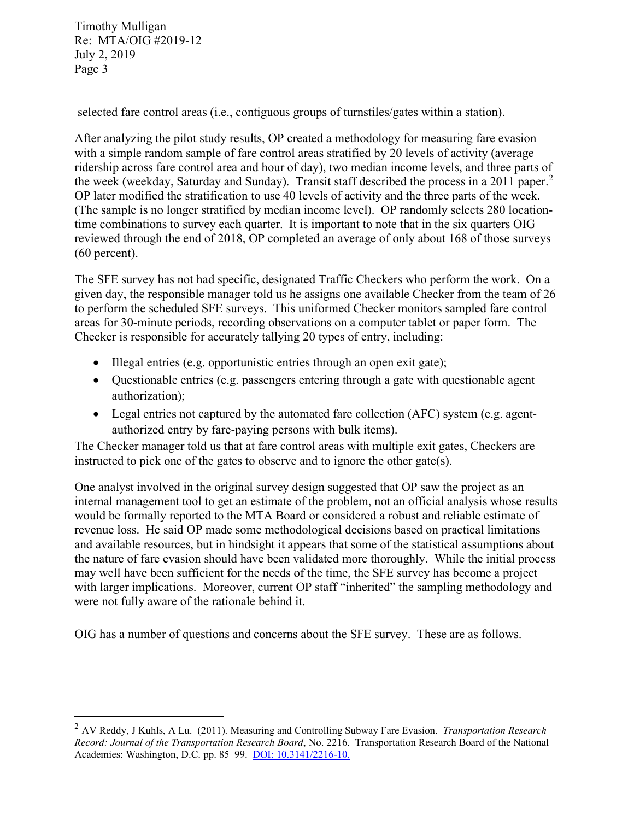selected fare control areas (i.e., contiguous groups of turnstiles/gates within a station).

After analyzing the pilot study results, OP created a methodology for measuring fare evasion with a simple random sample of fare control areas stratified by 20 levels of activity (average ridership across fare control area and hour of day), two median income levels, and three parts of the week (weekday, Saturday and Sunday). Transit staff described the process in a [2](#page-2-0)011 paper.<sup>2</sup> OP later modified the stratification to use 40 levels of activity and the three parts of the week. (The sample is no longer stratified by median income level). OP randomly selects 280 locationtime combinations to survey each quarter. It is important to note that in the six quarters OIG reviewed through the end of 2018, OP completed an average of only about 168 of those surveys (60 percent).

The SFE survey has not had specific, designated Traffic Checkers who perform the work. On a given day, the responsible manager told us he assigns one available Checker from the team of 26 to perform the scheduled SFE surveys. This uniformed Checker monitors sampled fare control areas for 30-minute periods, recording observations on a computer tablet or paper form. The Checker is responsible for accurately tallying 20 types of entry, including:

- Illegal entries (e.g. opportunistic entries through an open exit gate);
- Ouestionable entries (e.g. passengers entering through a gate with questionable agent authorization);
- Legal entries not captured by the automated fare collection (AFC) system (e.g. agentauthorized entry by fare-paying persons with bulk items).

The Checker manager told us that at fare control areas with multiple exit gates, Checkers are instructed to pick one of the gates to observe and to ignore the other gate(s).

One analyst involved in the original survey design suggested that OP saw the project as an internal management tool to get an estimate of the problem, not an official analysis whose results would be formally reported to the MTA Board or considered a robust and reliable estimate of revenue loss. He said OP made some methodological decisions based on practical limitations and available resources, but in hindsight it appears that some of the statistical assumptions about the nature of fare evasion should have been validated more thoroughly. While the initial process may well have been sufficient for the needs of the time, the SFE survey has become a project with larger implications. Moreover, current OP staff "inherited" the sampling methodology and were not fully aware of the rationale behind it.

OIG has a number of questions and concerns about the SFE survey. These are as follows.

<span id="page-2-0"></span><sup>2</sup> AV Reddy, J Kuhls, A Lu. (2011). Measuring and Controlling Subway Fare Evasion. *Transportation Research Record: Journal of the Transportation Research Board*, No. 2216. Transportation Research Board of the National Academies: Washington, D.C. pp. 85–99. [DOI: 10.3141/2216-10.](https://dx.doi.org/10.3141/2216-10)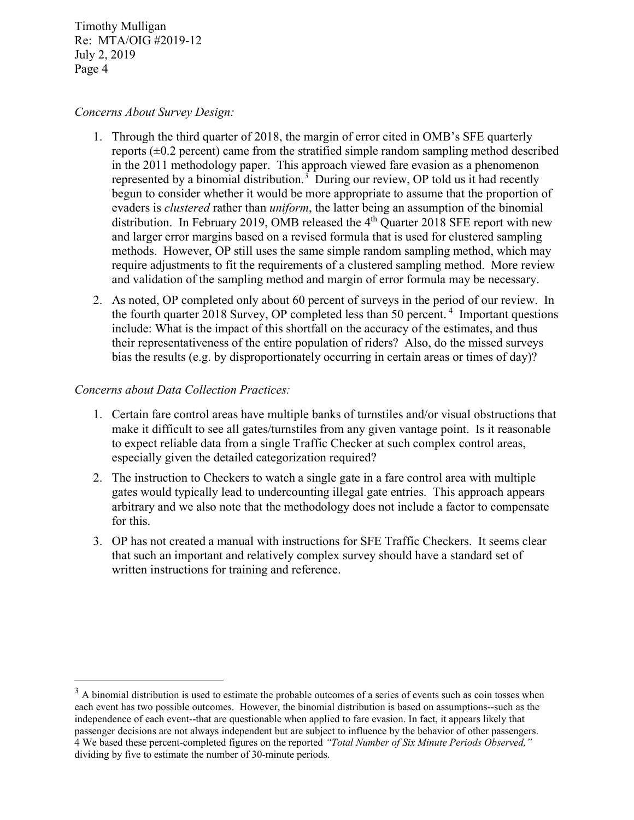### *Concerns About Survey Design:*

- 1. Through the third quarter of 2018, the margin of error cited in OMB's SFE quarterly reports  $(\pm 0.2$  percent) came from the stratified simple random sampling method described in the 2011 methodology paper. This approach viewed fare evasion as a phenomenon represented by a binomial distribution.<sup>[3](#page-3-0)</sup> During our review, OP told us it had recently begun to consider whether it would be more appropriate to assume that the proportion of evaders is *clustered* rather than *uniform*, the latter being an assumption of the binomial distribution. In February 2019, OMB released the 4<sup>th</sup> Quarter 2018 SFE report with new and larger error margins based on a revised formula that is used for clustered sampling methods. However, OP still uses the same simple random sampling method, which may require adjustments to fit the requirements of a clustered sampling method. More review and validation of the sampling method and margin of error formula may be necessary.
- 2. As noted, OP completed only about 60 percent of surveys in the period of our review. In the fourth quarter 2018 Survey, OP completed less than 50 percent.<sup>[4](#page-3-1)</sup> Important questions include: What is the impact of this shortfall on the accuracy of the estimates, and thus their representativeness of the entire population of riders? Also, do the missed surveys bias the results (e.g. by disproportionately occurring in certain areas or times of day)?

### *Concerns about Data Collection Practices:*

- 1. Certain fare control areas have multiple banks of turnstiles and/or visual obstructions that make it difficult to see all gates/turnstiles from any given vantage point. Is it reasonable to expect reliable data from a single Traffic Checker at such complex control areas, especially given the detailed categorization required?
- 2. The instruction to Checkers to watch a single gate in a fare control area with multiple gates would typically lead to undercounting illegal gate entries. This approach appears arbitrary and we also note that the methodology does not include a factor to compensate for this.
- 3. OP has not created a manual with instructions for SFE Traffic Checkers. It seems clear that such an important and relatively complex survey should have a standard set of written instructions for training and reference.

<span id="page-3-1"></span><span id="page-3-0"></span> $3$  A binomial distribution is used to estimate the probable outcomes of a series of events such as coin tosses when each event has two possible outcomes. However, the binomial distribution is based on assumptions--such as the independence of each event--that are questionable when applied to fare evasion. In fact, it appears likely that passenger decisions are not always independent but are subject to influence by the behavior of other passengers. 4 We based these percent-completed figures on the reported *"Total Number of Six Minute Periods Observed,"* dividing by five to estimate the number of 30-minute periods.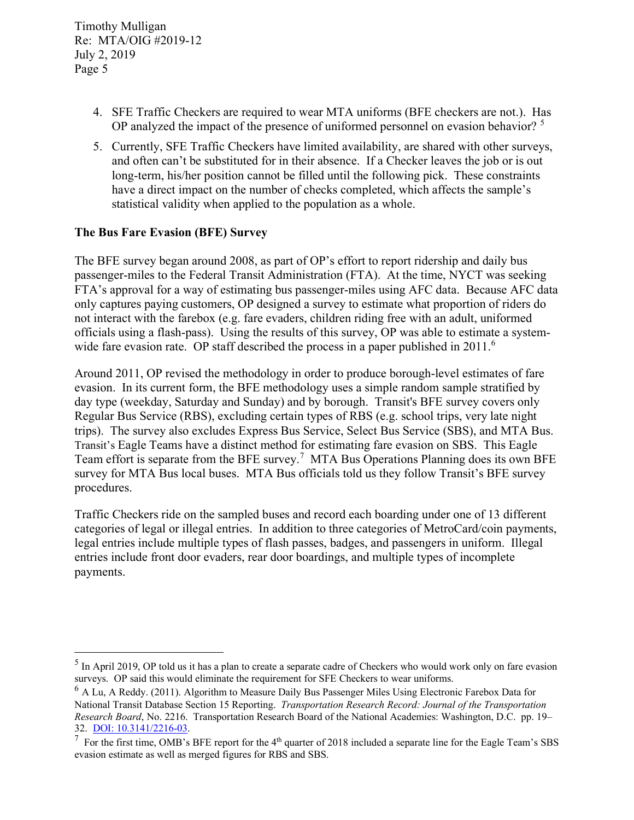- 4. SFE Traffic Checkers are required to wear MTA uniforms (BFE checkers are not.). Has OP analyzed the impact of the presence of uniformed personnel on evasion behavior?<sup>[5](#page-4-0)</sup>
- 5. Currently, SFE Traffic Checkers have limited availability, are shared with other surveys, and often can't be substituted for in their absence. If a Checker leaves the job or is out long-term, his/her position cannot be filled until the following pick. These constraints have a direct impact on the number of checks completed, which affects the sample's statistical validity when applied to the population as a whole.

# **The Bus Fare Evasion (BFE) Survey**

The BFE survey began around 2008, as part of OP's effort to report ridership and daily bus passenger-miles to the Federal Transit Administration (FTA). At the time, NYCT was seeking FTA's approval for a way of estimating bus passenger-miles using AFC data. Because AFC data only captures paying customers, OP designed a survey to estimate what proportion of riders do not interact with the farebox (e.g. fare evaders, children riding free with an adult, uniformed officials using a flash-pass). Using the results of this survey, OP was able to estimate a system-wide fare evasion rate. OP staff described the process in a paper published in 2011.<sup>[6](#page-4-1)</sup>

Around 2011, OP revised the methodology in order to produce borough-level estimates of fare evasion. In its current form, the BFE methodology uses a simple random sample stratified by day type (weekday, Saturday and Sunday) and by borough. Transit's BFE survey covers only Regular Bus Service (RBS), excluding certain types of RBS (e.g. school trips, very late night trips). The survey also excludes Express Bus Service, Select Bus Service (SBS), and MTA Bus. Transit's Eagle Teams have a distinct method for estimating fare evasion on SBS. This Eagle Team effort is separate from the BFE survey.<sup>[7](#page-4-2)</sup> MTA Bus Operations Planning does its own BFE survey for MTA Bus local buses. MTA Bus officials told us they follow Transit's BFE survey procedures.

Traffic Checkers ride on the sampled buses and record each boarding under one of 13 different categories of legal or illegal entries. In addition to three categories of MetroCard/coin payments, legal entries include multiple types of flash passes, badges, and passengers in uniform. Illegal entries include front door evaders, rear door boardings, and multiple types of incomplete payments.

<span id="page-4-0"></span><sup>&</sup>lt;sup>5</sup> In April 2019, OP told us it has a plan to create a separate cadre of Checkers who would work only on fare evasion surveys. OP said this would eliminate the requirement for SFE Checkers to wear uniforms.

<span id="page-4-1"></span><sup>&</sup>lt;sup>6</sup> A Lu, A Reddy. (2011). Algorithm to Measure Daily Bus Passenger Miles Using Electronic Farebox Data for National Transit Database Section 15 Reporting. *Transportation Research Record: Journal of the Transportation Research Board*, No. 2216. Transportation Research Board of the National Academies: Washington, D.C. pp. 19– 32. [DOI: 10.3141/2216-03.](https://doi.org/10.3141/2216-03)

<span id="page-4-2"></span><sup>7</sup> For the first time, OMB's BFE report for the 4<sup>th</sup> quarter of 2018 included a separate line for the Eagle Team's SBS evasion estimate as well as merged figures for RBS and SBS.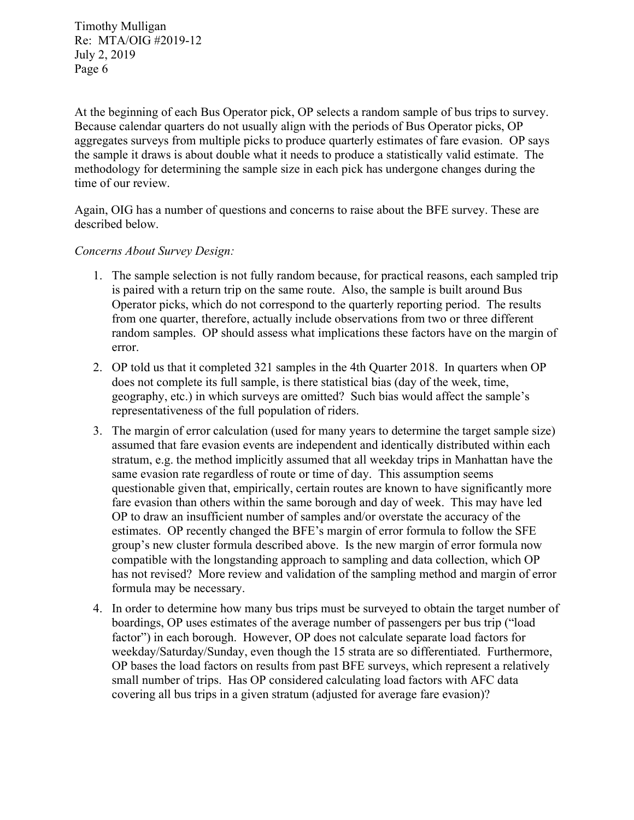At the beginning of each Bus Operator pick, OP selects a random sample of bus trips to survey. Because calendar quarters do not usually align with the periods of Bus Operator picks, OP aggregates surveys from multiple picks to produce quarterly estimates of fare evasion. OP says the sample it draws is about double what it needs to produce a statistically valid estimate. The methodology for determining the sample size in each pick has undergone changes during the time of our review.

Again, OIG has a number of questions and concerns to raise about the BFE survey. These are described below.

### *Concerns About Survey Design:*

- 1. The sample selection is not fully random because, for practical reasons, each sampled trip is paired with a return trip on the same route. Also, the sample is built around Bus Operator picks, which do not correspond to the quarterly reporting period. The results from one quarter, therefore, actually include observations from two or three different random samples. OP should assess what implications these factors have on the margin of error.
- 2. OP told us that it completed 321 samples in the 4th Quarter 2018. In quarters when OP does not complete its full sample, is there statistical bias (day of the week, time, geography, etc.) in which surveys are omitted? Such bias would affect the sample's representativeness of the full population of riders.
- 3. The margin of error calculation (used for many years to determine the target sample size) assumed that fare evasion events are independent and identically distributed within each stratum, e.g. the method implicitly assumed that all weekday trips in Manhattan have the same evasion rate regardless of route or time of day. This assumption seems questionable given that, empirically, certain routes are known to have significantly more fare evasion than others within the same borough and day of week. This may have led OP to draw an insufficient number of samples and/or overstate the accuracy of the estimates. OP recently changed the BFE's margin of error formula to follow the SFE group's new cluster formula described above. Is the new margin of error formula now compatible with the longstanding approach to sampling and data collection, which OP has not revised? More review and validation of the sampling method and margin of error formula may be necessary.
- 4. In order to determine how many bus trips must be surveyed to obtain the target number of boardings, OP uses estimates of the average number of passengers per bus trip ("load factor") in each borough. However, OP does not calculate separate load factors for weekday/Saturday/Sunday, even though the 15 strata are so differentiated. Furthermore, OP bases the load factors on results from past BFE surveys, which represent a relatively small number of trips. Has OP considered calculating load factors with AFC data covering all bus trips in a given stratum (adjusted for average fare evasion)?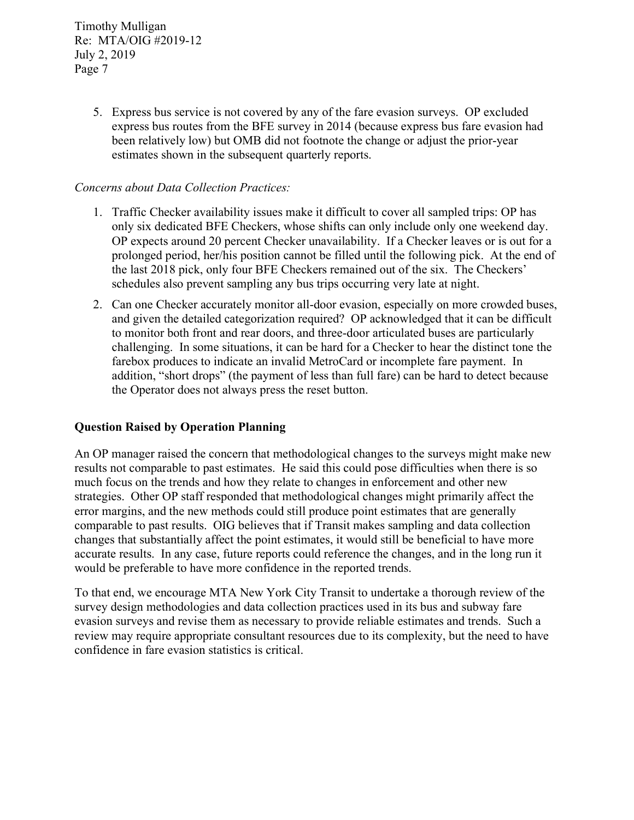> 5. Express bus service is not covered by any of the fare evasion surveys. OP excluded express bus routes from the BFE survey in 2014 (because express bus fare evasion had been relatively low) but OMB did not footnote the change or adjust the prior-year estimates shown in the subsequent quarterly reports.

## *Concerns about Data Collection Practices:*

- 1. Traffic Checker availability issues make it difficult to cover all sampled trips: OP has only six dedicated BFE Checkers, whose shifts can only include only one weekend day. OP expects around 20 percent Checker unavailability. If a Checker leaves or is out for a prolonged period, her/his position cannot be filled until the following pick. At the end of the last 2018 pick, only four BFE Checkers remained out of the six. The Checkers' schedules also prevent sampling any bus trips occurring very late at night.
- 2. Can one Checker accurately monitor all-door evasion, especially on more crowded buses, and given the detailed categorization required? OP acknowledged that it can be difficult to monitor both front and rear doors, and three-door articulated buses are particularly challenging. In some situations, it can be hard for a Checker to hear the distinct tone the farebox produces to indicate an invalid MetroCard or incomplete fare payment. In addition, "short drops" (the payment of less than full fare) can be hard to detect because the Operator does not always press the reset button.

### **Question Raised by Operation Planning**

An OP manager raised the concern that methodological changes to the surveys might make new results not comparable to past estimates. He said this could pose difficulties when there is so much focus on the trends and how they relate to changes in enforcement and other new strategies. Other OP staff responded that methodological changes might primarily affect the error margins, and the new methods could still produce point estimates that are generally comparable to past results. OIG believes that if Transit makes sampling and data collection changes that substantially affect the point estimates, it would still be beneficial to have more accurate results. In any case, future reports could reference the changes, and in the long run it would be preferable to have more confidence in the reported trends.

To that end, we encourage MTA New York City Transit to undertake a thorough review of the survey design methodologies and data collection practices used in its bus and subway fare evasion surveys and revise them as necessary to provide reliable estimates and trends. Such a review may require appropriate consultant resources due to its complexity, but the need to have confidence in fare evasion statistics is critical.